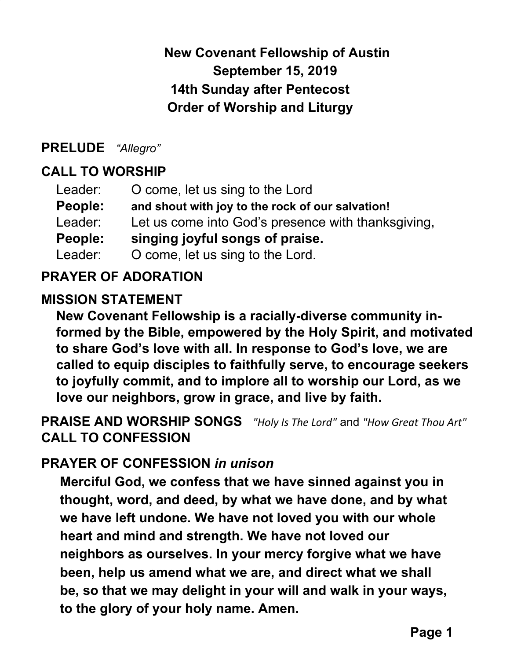# **New Covenant Fellowship of Austin September 15, 2019 14th Sunday after Pentecost Order of Worship and Liturgy**

#### **PRELUDE** *"Allegro"*

# **CALL TO WORSHIP**

| Leader: | O come, let us sing to the Lord                    |
|---------|----------------------------------------------------|
| People: | and shout with joy to the rock of our salvation!   |
| Leader: | Let us come into God's presence with thanksgiving, |
| People: | singing joyful songs of praise.                    |
| Leader: | O come, let us sing to the Lord.                   |

## **PRAYER OF ADORATION**

#### **MISSION STATEMENT**

**New Covenant Fellowship is a racially-diverse community informed by the Bible, empowered by the Holy Spirit, and motivated to share God's love with all. In response to God's love, we are called to equip disciples to faithfully serve, to encourage seekers to joyfully commit, and to implore all to worship our Lord, as we love our neighbors, grow in grace, and live by faith.**

**PRAISE AND WORSHIP SONGS** *"Holy Is The Lord"* and *"How Great Thou Art"* **CALL TO CONFESSION**

## **PRAYER OF CONFESSION** *in unison*

**Merciful God, we confess that we have sinned against you in thought, word, and deed, by what we have done, and by what we have left undone. We have not loved you with our whole heart and mind and strength. We have not loved our neighbors as ourselves. In your mercy forgive what we have been, help us amend what we are, and direct what we shall be, so that we may delight in your will and walk in your ways, to the glory of your holy name. Amen.**